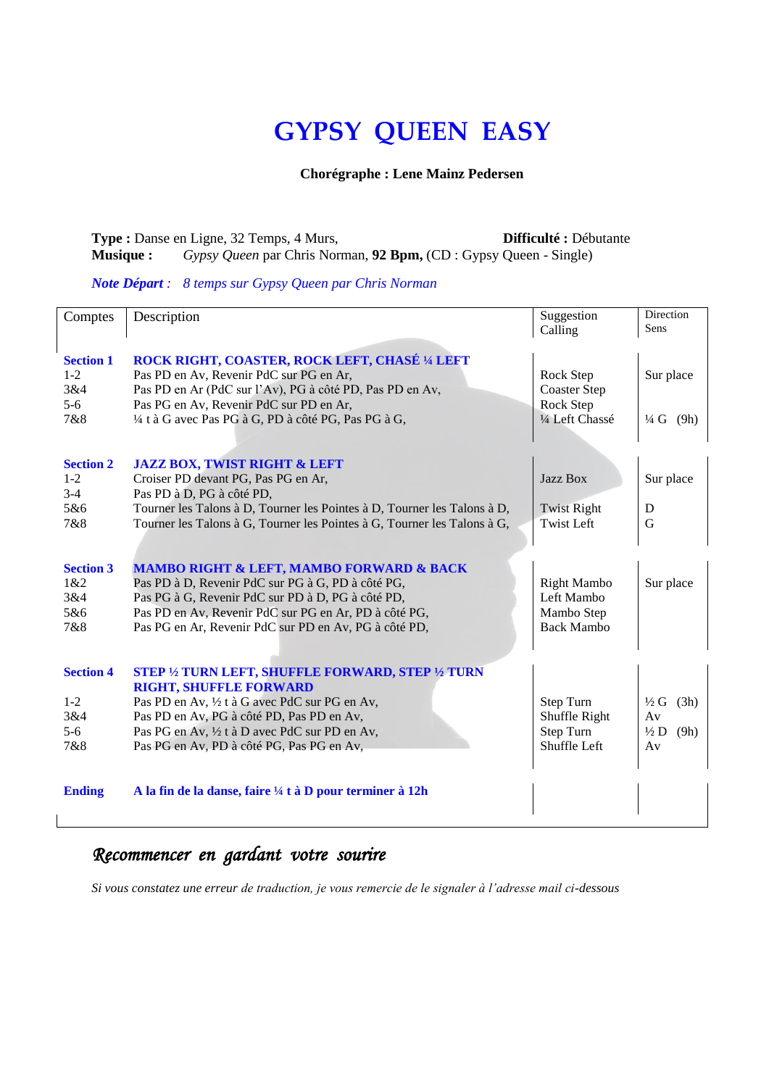# **GYPSY QUEEN EASY**

#### **Chorégraphe : Lene Mainz Pedersen**

#### **Type :** Danse en Ligne, 32 Temps, 4 Murs, **Difficulté :** Débutante **Musique :** *Gypsy Queen* par Chris Norman, **92 Bpm,** (CD : Gypsy Queen - Single)

#### *Note Départ : 8 temps sur Gypsy Queen par Chris Norman*

| Comptes          | Description                                                              | Suggestion          | <b>Direction</b>        |  |
|------------------|--------------------------------------------------------------------------|---------------------|-------------------------|--|
|                  |                                                                          | Calling             | Sens                    |  |
|                  |                                                                          |                     |                         |  |
| <b>Section 1</b> | ROCK RIGHT, COASTER, ROCK LEFT, CHASÉ 1/4 LEFT                           |                     |                         |  |
| $1 - 2$          | Pas PD en Av, Revenir PdC sur PG en Ar,                                  | Rock Step           | Sur place               |  |
| 3&4              | Pas PD en Ar (PdC sur l'Av), PG à côté PD, Pas PD en Av,                 | <b>Coaster Step</b> |                         |  |
| $5-6$            | Pas PG en Av, Revenir PdC sur PD en Ar,                                  | Rock Step           |                         |  |
| 7&8              | 1/4 t à G avec Pas PG à G, PD à côté PG, Pas PG à G,                     | 1/4 Left Chassé     | $\frac{1}{4} G$ (9h)    |  |
|                  |                                                                          |                     |                         |  |
|                  |                                                                          |                     |                         |  |
| <b>Section 2</b> | <b>JAZZ BOX, TWIST RIGHT &amp; LEFT</b>                                  |                     |                         |  |
| $1 - 2$          | Croiser PD devant PG, Pas PG en Ar,                                      | Jazz Box            | Sur place               |  |
| $3-4$            | Pas PD à D, PG à côté PD,                                                |                     |                         |  |
| 5&6              | Tourner les Talons à D, Tourner les Pointes à D, Tourner les Talons à D, | <b>Twist Right</b>  | D                       |  |
| 7&8              | Tourner les Talons à G, Tourner les Pointes à G, Tourner les Talons à G, | <b>Twist Left</b>   | G                       |  |
|                  |                                                                          |                     |                         |  |
|                  |                                                                          |                     |                         |  |
| <b>Section 3</b> | <b>MAMBO RIGHT &amp; LEFT, MAMBO FORWARD &amp; BACK</b>                  |                     |                         |  |
| 1&2              | Pas PD à D, Revenir PdC sur PG à G, PD à côté PG,                        | <b>Right Mambo</b>  | Sur place               |  |
| 3&4              | Pas PG à G, Revenir PdC sur PD à D, PG à côté PD,                        | Left Mambo          |                         |  |
| 5&6              | Pas PD en Av, Revenir PdC sur PG en Ar, PD à côté PG,                    | Mambo Step          |                         |  |
| 7&8              | Pas PG en Ar, Revenir PdC sur PD en Av, PG à côté PD,                    | <b>Back Mambo</b>   |                         |  |
|                  |                                                                          |                     |                         |  |
| <b>Section 4</b> | <b>STEP 1/2 TURN LEFT, SHUFFLE FORWARD, STEP 1/2 TURN</b>                |                     |                         |  |
|                  | <b>RIGHT, SHUFFLE FORWARD</b>                                            |                     |                         |  |
| $1 - 2$          | Pas PD en Av, 1/2 t à G avec PdC sur PG en Av,                           | Step Turn           | $\frac{1}{2}G$<br>(3h)  |  |
| 3&4              | Pas PD en Av, PG à côté PD, Pas PD en Av,                                | Shuffle Right       | Av                      |  |
| $5 - 6$          | Pas PG en Av, 1/2 t à D avec PdC sur PD en Av,                           | Step Turn           | $\frac{1}{2}$ D<br>(9h) |  |
| 7&8              | Pas PG en Av, PD à côté PG, Pas PG en Av,                                | Shuffle Left        | Av                      |  |
|                  |                                                                          |                     |                         |  |
|                  |                                                                          |                     |                         |  |
| <b>Ending</b>    | A la fin de la danse, faire ¼ t à D pour terminer à 12h                  |                     |                         |  |
|                  |                                                                          |                     |                         |  |

## *Recommencer en gardant votre sourire*

*Si vous constatez une erreur de traduction, je vous remercie de le signaler à l'adresse mail ci-dessous*